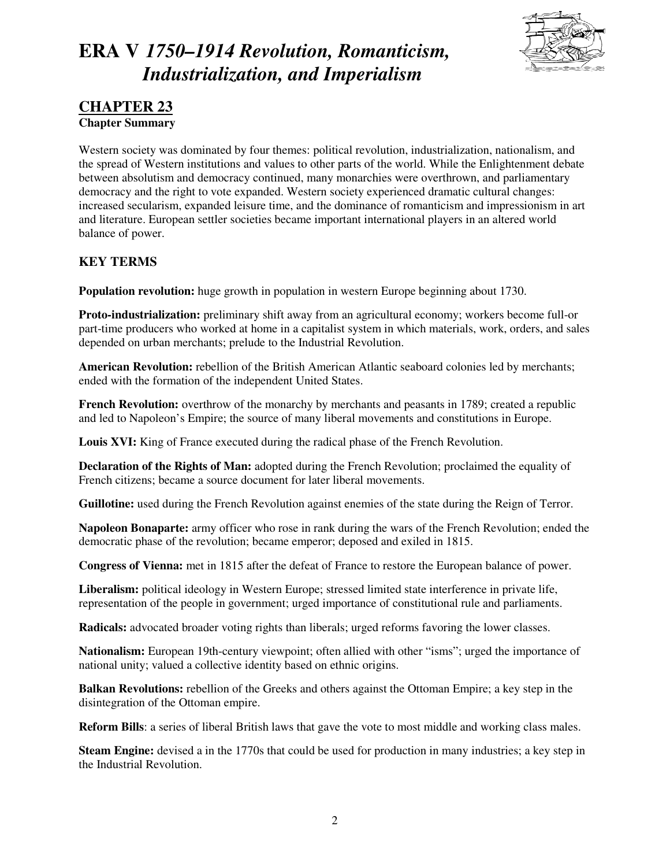

### **CHAPTER 23 Chapter Summary**

Western society was dominated by four themes: political revolution, industrialization, nationalism, and the spread of Western institutions and values to other parts of the world. While the Enlightenment debate between absolutism and democracy continued, many monarchies were overthrown, and parliamentary democracy and the right to vote expanded. Western society experienced dramatic cultural changes: increased secularism, expanded leisure time, and the dominance of romanticism and impressionism in art and literature. European settler societies became important international players in an altered world balance of power.

### **KEY TERMS**

**Population revolution:** huge growth in population in western Europe beginning about 1730.

**Proto-industrialization:** preliminary shift away from an agricultural economy; workers become full-or part-time producers who worked at home in a capitalist system in which materials, work, orders, and sales depended on urban merchants; prelude to the Industrial Revolution.

**American Revolution:** rebellion of the British American Atlantic seaboard colonies led by merchants; ended with the formation of the independent United States.

**French Revolution:** overthrow of the monarchy by merchants and peasants in 1789; created a republic and led to Napoleon's Empire; the source of many liberal movements and constitutions in Europe.

Louis XVI: King of France executed during the radical phase of the French Revolution.

**Declaration of the Rights of Man:** adopted during the French Revolution; proclaimed the equality of French citizens; became a source document for later liberal movements.

**Guillotine:** used during the French Revolution against enemies of the state during the Reign of Terror.

**Napoleon Bonaparte:** army officer who rose in rank during the wars of the French Revolution; ended the democratic phase of the revolution; became emperor; deposed and exiled in 1815.

**Congress of Vienna:** met in 1815 after the defeat of France to restore the European balance of power.

**Liberalism:** political ideology in Western Europe; stressed limited state interference in private life, representation of the people in government; urged importance of constitutional rule and parliaments.

**Radicals:** advocated broader voting rights than liberals; urged reforms favoring the lower classes.

**Nationalism:** European 19th-century viewpoint; often allied with other "isms"; urged the importance of national unity; valued a collective identity based on ethnic origins.

**Balkan Revolutions:** rebellion of the Greeks and others against the Ottoman Empire; a key step in the disintegration of the Ottoman empire.

**Reform Bills**: a series of liberal British laws that gave the vote to most middle and working class males.

**Steam Engine:** devised a in the 1770s that could be used for production in many industries; a key step in the Industrial Revolution.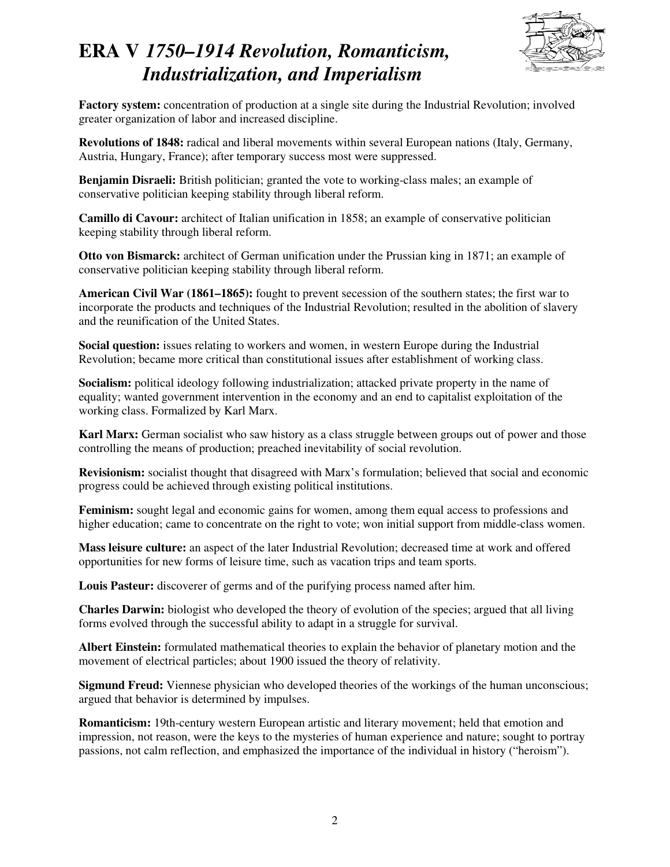

**Factory system:** concentration of production at a single site during the Industrial Revolution; involved greater organization of labor and increased discipline.

**Revolutions of 1848:** radical and liberal movements within several European nations (Italy, Germany, Austria, Hungary, France); after temporary success most were suppressed.

**Benjamin Disraeli:** British politician; granted the vote to working-class males; an example of conservative politician keeping stability through liberal reform.

**Camillo di Cavour:** architect of Italian unification in 1858; an example of conservative politician keeping stability through liberal reform.

**Otto von Bismarck:** architect of German unification under the Prussian king in 1871; an example of conservative politician keeping stability through liberal reform.

**American Civil War (1861–1865):** fought to prevent secession of the southern states; the first war to incorporate the products and techniques of the Industrial Revolution; resulted in the abolition of slavery and the reunification of the United States.

**Social question:** issues relating to workers and women, in western Europe during the Industrial Revolution; became more critical than constitutional issues after establishment of working class.

**Socialism:** political ideology following industrialization; attacked private property in the name of equality; wanted government intervention in the economy and an end to capitalist exploitation of the working class. Formalized by Karl Marx.

**Karl Marx:** German socialist who saw history as a class struggle between groups out of power and those controlling the means of production; preached inevitability of social revolution.

**Revisionism:** socialist thought that disagreed with Marx's formulation; believed that social and economic progress could be achieved through existing political institutions.

**Feminism:** sought legal and economic gains for women, among them equal access to professions and higher education; came to concentrate on the right to vote; won initial support from middle-class women.

**Mass leisure culture:** an aspect of the later Industrial Revolution; decreased time at work and offered opportunities for new forms of leisure time, such as vacation trips and team sports.

**Louis Pasteur:** discoverer of germs and of the purifying process named after him.

**Charles Darwin:** biologist who developed the theory of evolution of the species; argued that all living forms evolved through the successful ability to adapt in a struggle for survival.

**Albert Einstein:** formulated mathematical theories to explain the behavior of planetary motion and the movement of electrical particles; about 1900 issued the theory of relativity.

**Sigmund Freud:** Viennese physician who developed theories of the workings of the human unconscious; argued that behavior is determined by impulses.

**Romanticism:** 19th-century western European artistic and literary movement; held that emotion and impression, not reason, were the keys to the mysteries of human experience and nature; sought to portray passions, not calm reflection, and emphasized the importance of the individual in history ("heroism").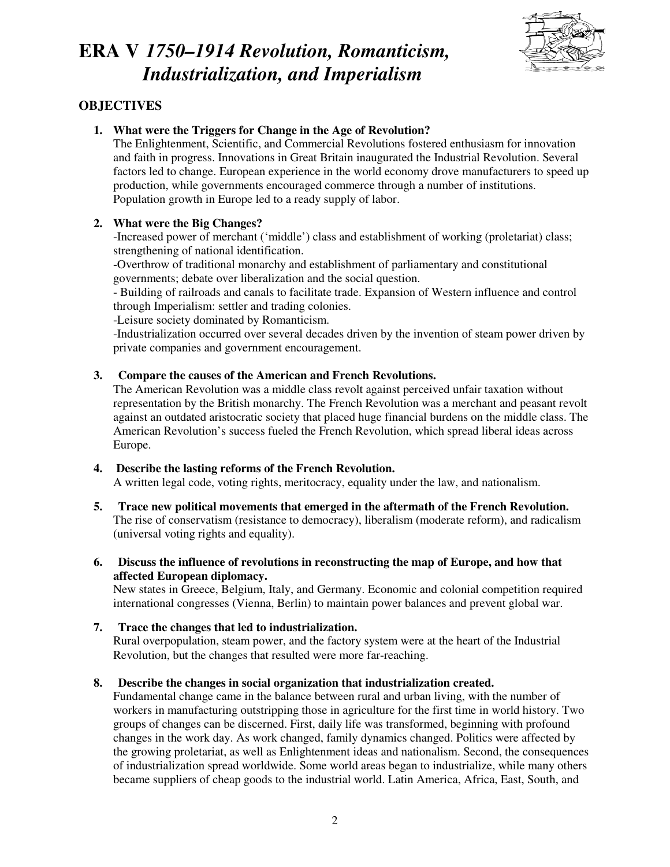

### **OBJECTIVES**

**1. What were the Triggers for Change in the Age of Revolution?** 

The Enlightenment, Scientific, and Commercial Revolutions fostered enthusiasm for innovation and faith in progress. Innovations in Great Britain inaugurated the Industrial Revolution. Several factors led to change. European experience in the world economy drove manufacturers to speed up production, while governments encouraged commerce through a number of institutions. Population growth in Europe led to a ready supply of labor.

### **2. What were the Big Changes?**

-Increased power of merchant ('middle') class and establishment of working (proletariat) class; strengthening of national identification.

-Overthrow of traditional monarchy and establishment of parliamentary and constitutional governments; debate over liberalization and the social question.

- Building of railroads and canals to facilitate trade. Expansion of Western influence and control through Imperialism: settler and trading colonies.

-Leisure society dominated by Romanticism.

-Industrialization occurred over several decades driven by the invention of steam power driven by private companies and government encouragement.

### **3. Compare the causes of the American and French Revolutions.**

The American Revolution was a middle class revolt against perceived unfair taxation without representation by the British monarchy. The French Revolution was a merchant and peasant revolt against an outdated aristocratic society that placed huge financial burdens on the middle class. The American Revolution's success fueled the French Revolution, which spread liberal ideas across Europe.

#### **4. Describe the lasting reforms of the French Revolution.**  A written legal code, voting rights, meritocracy, equality under the law, and nationalism.

**5. Trace new political movements that emerged in the aftermath of the French Revolution.** 

The rise of conservatism (resistance to democracy), liberalism (moderate reform), and radicalism (universal voting rights and equality).

**6. Discuss the influence of revolutions in reconstructing the map of Europe, and how that affected European diplomacy.**

New states in Greece, Belgium, Italy, and Germany. Economic and colonial competition required international congresses (Vienna, Berlin) to maintain power balances and prevent global war.

### **7. Trace the changes that led to industrialization.**

Rural overpopulation, steam power, and the factory system were at the heart of the Industrial Revolution, but the changes that resulted were more far-reaching.

### **8. Describe the changes in social organization that industrialization created.**

Fundamental change came in the balance between rural and urban living, with the number of workers in manufacturing outstripping those in agriculture for the first time in world history. Two groups of changes can be discerned. First, daily life was transformed, beginning with profound changes in the work day. As work changed, family dynamics changed. Politics were affected by the growing proletariat, as well as Enlightenment ideas and nationalism. Second, the consequences of industrialization spread worldwide. Some world areas began to industrialize, while many others became suppliers of cheap goods to the industrial world. Latin America, Africa, East, South, and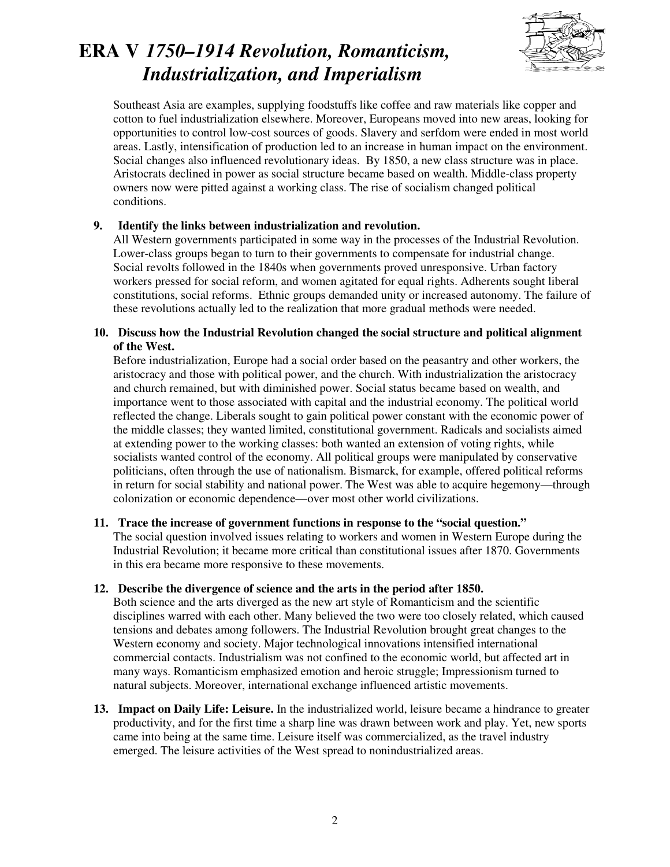

Southeast Asia are examples, supplying foodstuffs like coffee and raw materials like copper and cotton to fuel industrialization elsewhere. Moreover, Europeans moved into new areas, looking for opportunities to control low-cost sources of goods. Slavery and serfdom were ended in most world areas. Lastly, intensification of production led to an increase in human impact on the environment. Social changes also influenced revolutionary ideas. By 1850, a new class structure was in place. Aristocrats declined in power as social structure became based on wealth. Middle-class property owners now were pitted against a working class. The rise of socialism changed political conditions.

#### **9. Identify the links between industrialization and revolution.**

All Western governments participated in some way in the processes of the Industrial Revolution. Lower-class groups began to turn to their governments to compensate for industrial change. Social revolts followed in the 1840s when governments proved unresponsive. Urban factory workers pressed for social reform, and women agitated for equal rights. Adherents sought liberal constitutions, social reforms. Ethnic groups demanded unity or increased autonomy. The failure of these revolutions actually led to the realization that more gradual methods were needed.

#### **10. Discuss how the Industrial Revolution changed the social structure and political alignment of the West.**

Before industrialization, Europe had a social order based on the peasantry and other workers, the aristocracy and those with political power, and the church. With industrialization the aristocracy and church remained, but with diminished power. Social status became based on wealth, and importance went to those associated with capital and the industrial economy. The political world reflected the change. Liberals sought to gain political power constant with the economic power of the middle classes; they wanted limited, constitutional government. Radicals and socialists aimed at extending power to the working classes: both wanted an extension of voting rights, while socialists wanted control of the economy. All political groups were manipulated by conservative politicians, often through the use of nationalism. Bismarck, for example, offered political reforms in return for social stability and national power. The West was able to acquire hegemony—through colonization or economic dependence—over most other world civilizations.

#### **11. Trace the increase of government functions in response to the "social question."**

The social question involved issues relating to workers and women in Western Europe during the Industrial Revolution; it became more critical than constitutional issues after 1870. Governments in this era became more responsive to these movements.

#### **12. Describe the divergence of science and the arts in the period after 1850.**

Both science and the arts diverged as the new art style of Romanticism and the scientific disciplines warred with each other. Many believed the two were too closely related, which caused tensions and debates among followers. The Industrial Revolution brought great changes to the Western economy and society. Major technological innovations intensified international commercial contacts. Industrialism was not confined to the economic world, but affected art in many ways. Romanticism emphasized emotion and heroic struggle; Impressionism turned to natural subjects. Moreover, international exchange influenced artistic movements.

**13. Impact on Daily Life: Leisure.** In the industrialized world, leisure became a hindrance to greater productivity, and for the first time a sharp line was drawn between work and play. Yet, new sports came into being at the same time. Leisure itself was commercialized, as the travel industry emerged. The leisure activities of the West spread to nonindustrialized areas.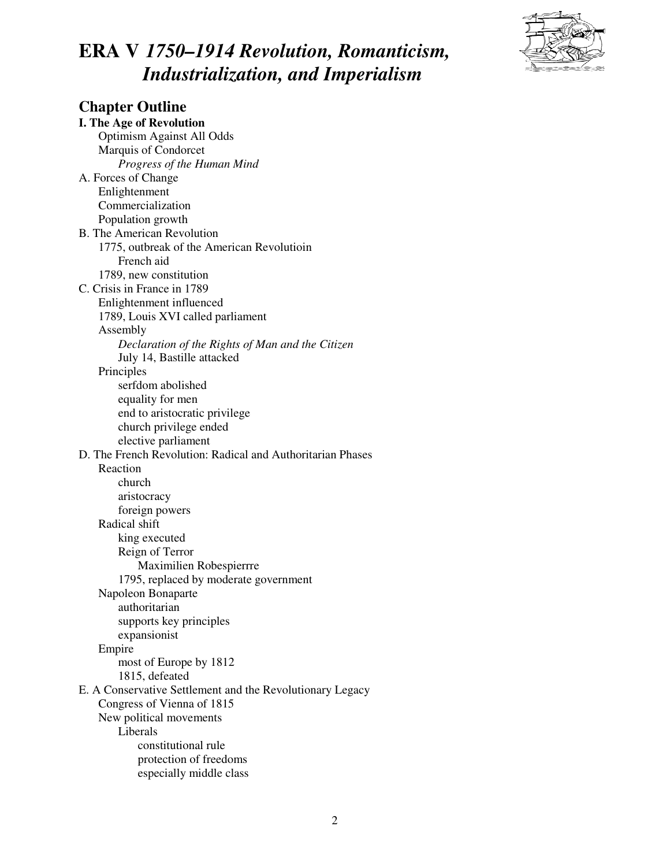

**Chapter Outline I. The Age of Revolution**  Optimism Against All Odds Marquis of Condorcet *Progress of the Human Mind*  A. Forces of Change Enlightenment Commercialization Population growth B. The American Revolution 1775, outbreak of the American Revolutioin French aid 1789, new constitution C. Crisis in France in 1789 Enlightenment influenced 1789, Louis XVI called parliament Assembly *Declaration of the Rights of Man and the Citizen* July 14, Bastille attacked Principles serfdom abolished equality for men end to aristocratic privilege church privilege ended elective parliament D. The French Revolution: Radical and Authoritarian Phases Reaction church aristocracy foreign powers Radical shift king executed Reign of Terror Maximilien Robespierrre 1795, replaced by moderate government Napoleon Bonaparte authoritarian supports key principles expansionist Empire most of Europe by 1812 1815, defeated E. A Conservative Settlement and the Revolutionary Legacy Congress of Vienna of 1815 New political movements Liberals constitutional rule protection of freedoms especially middle class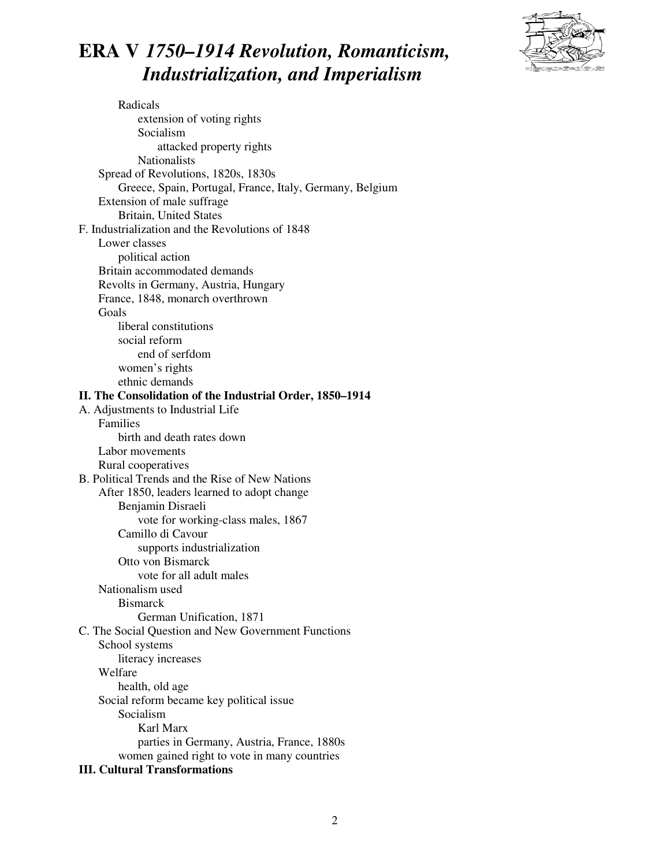

 Radicals extension of voting rights Socialism attacked property rights Nationalists Spread of Revolutions, 1820s, 1830s Greece, Spain, Portugal, France, Italy, Germany, Belgium Extension of male suffrage Britain, United States F. Industrialization and the Revolutions of 1848 Lower classes political action Britain accommodated demands Revolts in Germany, Austria, Hungary France, 1848, monarch overthrown Goals liberal constitutions social reform end of serfdom women's rights ethnic demands **II. The Consolidation of the Industrial Order, 1850–1914**  A. Adjustments to Industrial Life Families birth and death rates down Labor movements Rural cooperatives B. Political Trends and the Rise of New Nations After 1850, leaders learned to adopt change Benjamin Disraeli vote for working-class males, 1867 Camillo di Cavour supports industrialization Otto von Bismarck vote for all adult males Nationalism used **Bismarck**  German Unification, 1871 C. The Social Question and New Government Functions School systems literacy increases Welfare health, old age Social reform became key political issue Socialism Karl Marx parties in Germany, Austria, France, 1880s women gained right to vote in many countries **III. Cultural Transformations** 

#### 2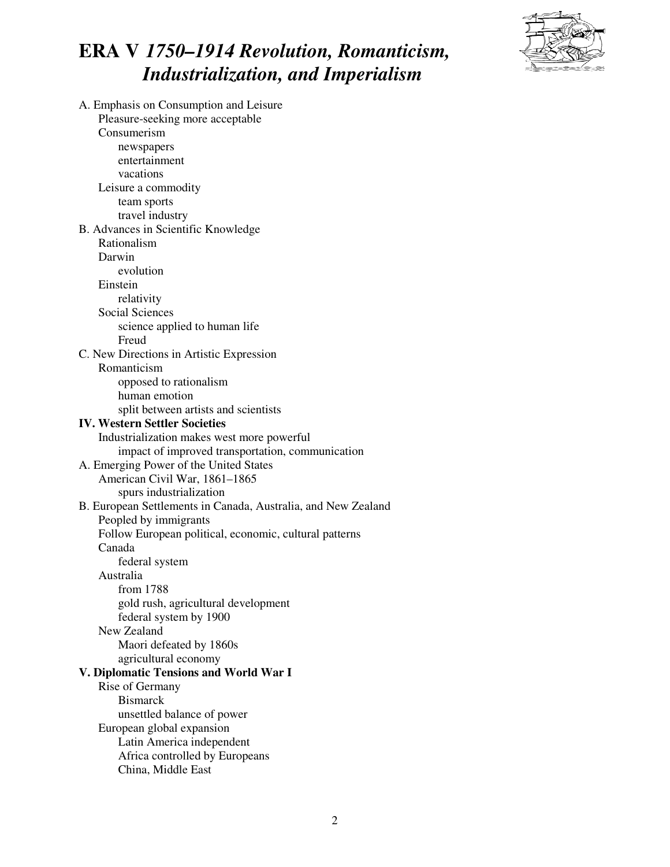

A. Emphasis on Consumption and Leisure Pleasure-seeking more acceptable Consumerism newspapers entertainment vacations Leisure a commodity team sports travel industry B. Advances in Scientific Knowledge Rationalism Darwin evolution Einstein relativity Social Sciences science applied to human life Freud C. New Directions in Artistic Expression Romanticism opposed to rationalism human emotion split between artists and scientists **IV. Western Settler Societies** Industrialization makes west more powerful impact of improved transportation, communication A. Emerging Power of the United States American Civil War, 1861–1865 spurs industrialization B. European Settlements in Canada, Australia, and New Zealand Peopled by immigrants Follow European political, economic, cultural patterns Canada federal system Australia from 1788 gold rush, agricultural development federal system by 1900 New Zealand Maori defeated by 1860s agricultural economy **V. Diplomatic Tensions and World War I** Rise of Germany Bismarck unsettled balance of power European global expansion Latin America independent Africa controlled by Europeans China, Middle East